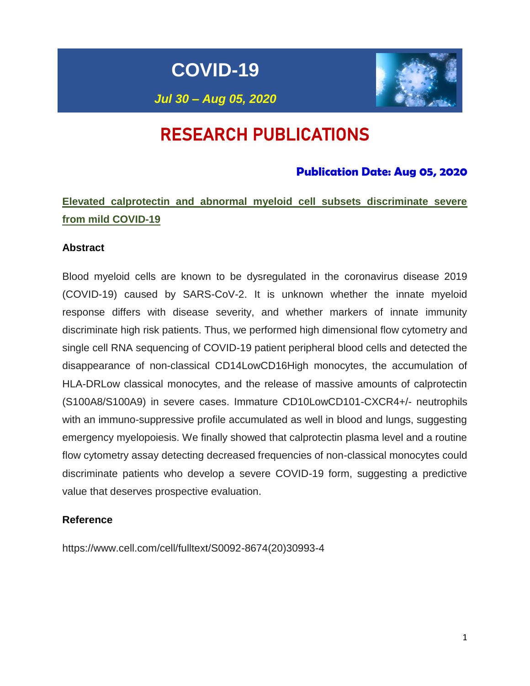**COVID-19**

*Jul 30 – Aug 05, 2020*



# RESEARCH PUBLICATIONS

## **Publication Date: Aug 05, 2020**

# **Elevated calprotectin and abnormal myeloid cell subsets discriminate severe from mild COVID-19**

### **Abstract**

Blood myeloid cells are known to be dysregulated in the coronavirus disease 2019 (COVID-19) caused by SARS-CoV-2. It is unknown whether the innate myeloid response differs with disease severity, and whether markers of innate immunity discriminate high risk patients. Thus, we performed high dimensional flow cytometry and single cell RNA sequencing of COVID-19 patient peripheral blood cells and detected the disappearance of non-classical CD14LowCD16High monocytes, the accumulation of HLA-DRLow classical monocytes, and the release of massive amounts of calprotectin (S100A8/S100A9) in severe cases. Immature CD10LowCD101-CXCR4+/- neutrophils with an immuno-suppressive profile accumulated as well in blood and lungs, suggesting emergency myelopoiesis. We finally showed that calprotectin plasma level and a routine flow cytometry assay detecting decreased frequencies of non-classical monocytes could discriminate patients who develop a severe COVID-19 form, suggesting a predictive value that deserves prospective evaluation.

### **Reference**

https://www.cell.com/cell/fulltext/S0092-8674(20)30993-4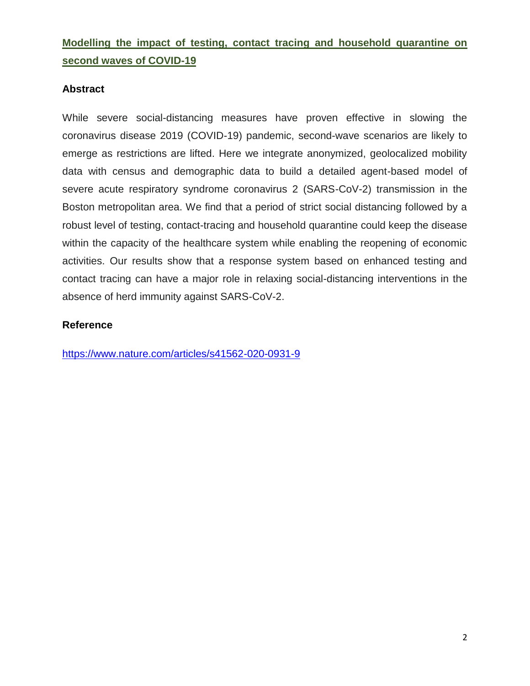# **Modelling the impact of testing, contact tracing and household quarantine on second waves of COVID-19**

### **Abstract**

While severe social-distancing measures have proven effective in slowing the coronavirus disease 2019 (COVID-19) pandemic, second-wave scenarios are likely to emerge as restrictions are lifted. Here we integrate anonymized, geolocalized mobility data with census and demographic data to build a detailed agent-based model of severe acute respiratory syndrome coronavirus 2 (SARS-CoV-2) transmission in the Boston metropolitan area. We find that a period of strict social distancing followed by a robust level of testing, contact-tracing and household quarantine could keep the disease within the capacity of the healthcare system while enabling the reopening of economic activities. Our results show that a response system based on enhanced testing and contact tracing can have a major role in relaxing social-distancing interventions in the absence of herd immunity against SARS-CoV-2.

### **Reference**

<https://www.nature.com/articles/s41562-020-0931-9>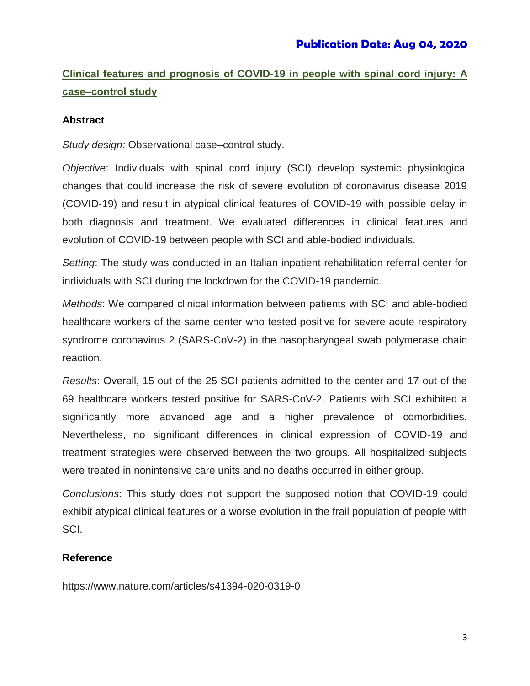# **Clinical features and prognosis of COVID-19 in people with spinal cord injury: A case–control study**

### **Abstract**

*Study design:* Observational case–control study.

*Objective*: Individuals with spinal cord injury (SCI) develop systemic physiological changes that could increase the risk of severe evolution of coronavirus disease 2019 (COVID-19) and result in atypical clinical features of COVID-19 with possible delay in both diagnosis and treatment. We evaluated differences in clinical features and evolution of COVID-19 between people with SCI and able-bodied individuals.

*Setting*: The study was conducted in an Italian inpatient rehabilitation referral center for individuals with SCI during the lockdown for the COVID-19 pandemic.

*Methods*: We compared clinical information between patients with SCI and able-bodied healthcare workers of the same center who tested positive for severe acute respiratory syndrome coronavirus 2 (SARS-CoV-2) in the nasopharyngeal swab polymerase chain reaction.

*Results*: Overall, 15 out of the 25 SCI patients admitted to the center and 17 out of the 69 healthcare workers tested positive for SARS-CoV-2. Patients with SCI exhibited a significantly more advanced age and a higher prevalence of comorbidities. Nevertheless, no significant differences in clinical expression of COVID-19 and treatment strategies were observed between the two groups. All hospitalized subjects were treated in nonintensive care units and no deaths occurred in either group.

*Conclusions*: This study does not support the supposed notion that COVID-19 could exhibit atypical clinical features or a worse evolution in the frail population of people with SCI.

### **Reference**

https://www.nature.com/articles/s41394-020-0319-0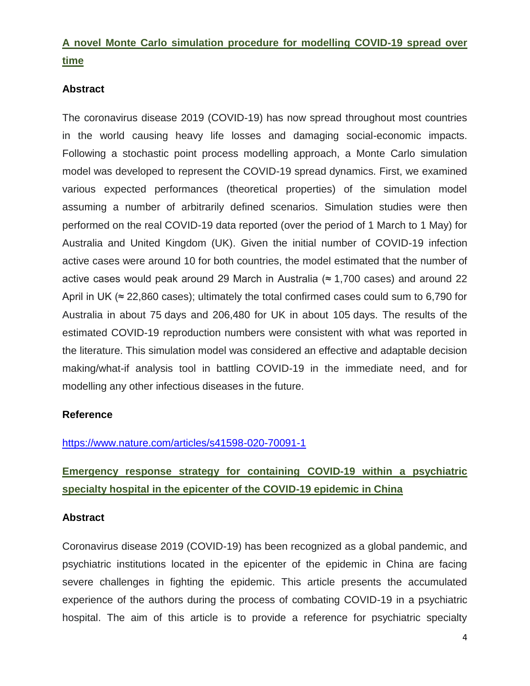# **A novel Monte Carlo simulation procedure for modelling COVID-19 spread over time**

### **Abstract**

The coronavirus disease 2019 (COVID-19) has now spread throughout most countries in the world causing heavy life losses and damaging social-economic impacts. Following a stochastic point process modelling approach, a Monte Carlo simulation model was developed to represent the COVID-19 spread dynamics. First, we examined various expected performances (theoretical properties) of the simulation model assuming a number of arbitrarily defined scenarios. Simulation studies were then performed on the real COVID-19 data reported (over the period of 1 March to 1 May) for Australia and United Kingdom (UK). Given the initial number of COVID-19 infection active cases were around 10 for both countries, the model estimated that the number of active cases would peak around 29 March in Australia ( $\approx$  1,700 cases) and around 22 April in UK ( $\approx$  22,860 cases); ultimately the total confirmed cases could sum to 6,790 for Australia in about 75 days and 206,480 for UK in about 105 days. The results of the estimated COVID-19 reproduction numbers were consistent with what was reported in the literature. This simulation model was considered an effective and adaptable decision making/what-if analysis tool in battling COVID-19 in the immediate need, and for modelling any other infectious diseases in the future.

### **Reference**

### <https://www.nature.com/articles/s41598-020-70091-1>

# **Emergency response strategy for containing COVID-19 within a psychiatric specialty hospital in the epicenter of the COVID-19 epidemic in China**

#### **Abstract**

Coronavirus disease 2019 (COVID-19) has been recognized as a global pandemic, and psychiatric institutions located in the epicenter of the epidemic in China are facing severe challenges in fighting the epidemic. This article presents the accumulated experience of the authors during the process of combating COVID-19 in a psychiatric hospital. The aim of this article is to provide a reference for psychiatric specialty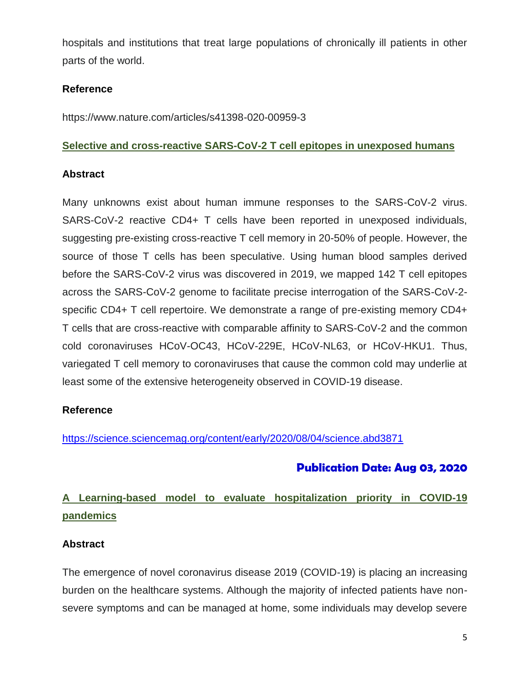hospitals and institutions that treat large populations of chronically ill patients in other parts of the world.

### **Reference**

https://www.nature.com/articles/s41398-020-00959-3

### **Selective and cross-reactive SARS-CoV-2 T cell epitopes in unexposed humans**

### **Abstract**

Many unknowns exist about human immune responses to the SARS-CoV-2 virus. SARS-CoV-2 reactive CD4+ T cells have been reported in unexposed individuals, suggesting pre-existing cross-reactive T cell memory in 20-50% of people. However, the source of those T cells has been speculative. Using human blood samples derived before the SARS-CoV-2 virus was discovered in 2019, we mapped 142 T cell epitopes across the SARS-CoV-2 genome to facilitate precise interrogation of the SARS-CoV-2 specific CD4+ T cell repertoire. We demonstrate a range of pre-existing memory CD4+ T cells that are cross-reactive with comparable affinity to SARS-CoV-2 and the common cold coronaviruses HCoV-OC43, HCoV-229E, HCoV-NL63, or HCoV-HKU1. Thus, variegated T cell memory to coronaviruses that cause the common cold may underlie at least some of the extensive heterogeneity observed in COVID-19 disease.

### **Reference**

<https://science.sciencemag.org/content/early/2020/08/04/science.abd3871>

## **Publication Date: Aug 03, 2020**

# **A Learning-based model to evaluate hospitalization priority in COVID-19 pandemics**

### **Abstract**

The emergence of novel coronavirus disease 2019 (COVID-19) is placing an increasing burden on the healthcare systems. Although the majority of infected patients have nonsevere symptoms and can be managed at home, some individuals may develop severe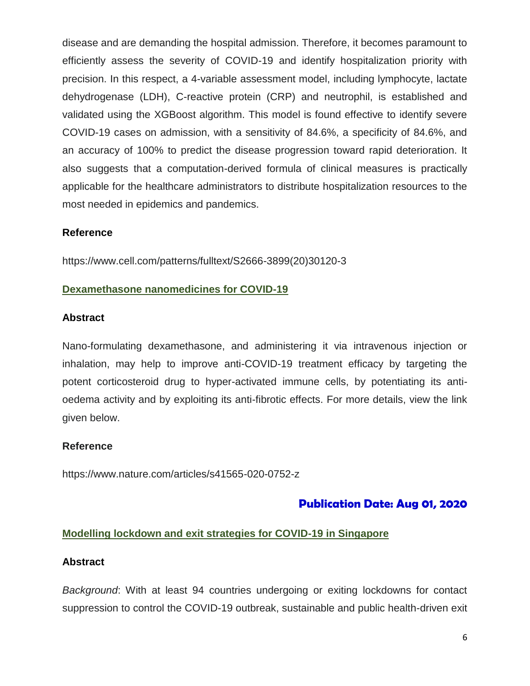disease and are demanding the hospital admission. Therefore, it becomes paramount to efficiently assess the severity of COVID-19 and identify hospitalization priority with precision. In this respect, a 4-variable assessment model, including lymphocyte, lactate dehydrogenase (LDH), C-reactive protein (CRP) and neutrophil, is established and validated using the XGBoost algorithm. This model is found effective to identify severe COVID-19 cases on admission, with a sensitivity of 84.6%, a specificity of 84.6%, and an accuracy of 100% to predict the disease progression toward rapid deterioration. It also suggests that a computation-derived formula of clinical measures is practically applicable for the healthcare administrators to distribute hospitalization resources to the most needed in epidemics and pandemics.

### **Reference**

[https://www.cell.com/patterns/fulltext/S2666-3899\(20\)30120-3](https://www.cell.com/patterns/fulltext/S2666-3899(20)30120-3)

### **Dexamethasone nanomedicines for COVID-19**

### **Abstract**

Nano-formulating dexamethasone, and administering it via intravenous injection or inhalation, may help to improve anti-COVID-19 treatment efficacy by targeting the potent corticosteroid drug to hyper-activated immune cells, by potentiating its antioedema activity and by exploiting its anti-fibrotic effects. For more details, view the link given below.

### **Reference**

<https://www.nature.com/articles/s41565-020-0752-z>

## **Publication Date: Aug 01, 2020**

### **Modelling lockdown and exit strategies for COVID-19 in Singapore**

### **Abstract**

*Background*: With at least 94 countries undergoing or exiting lockdowns for contact suppression to control the COVID-19 outbreak, sustainable and public health-driven exit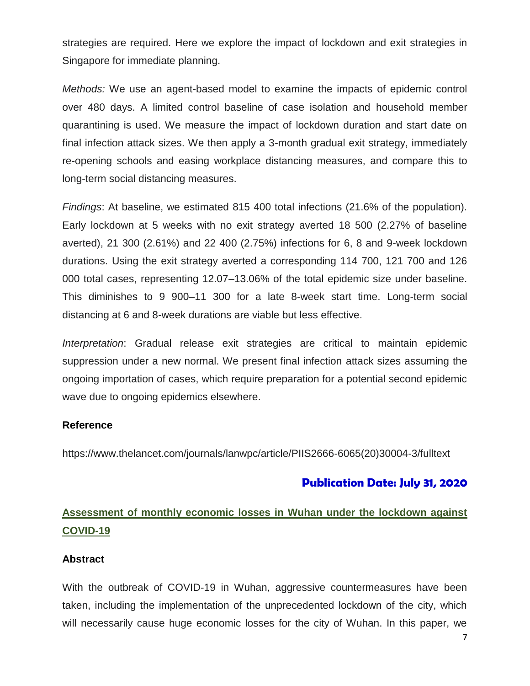strategies are required. Here we explore the impact of lockdown and exit strategies in Singapore for immediate planning.

*Methods:* We use an agent-based model to examine the impacts of epidemic control over 480 days. A limited control baseline of case isolation and household member quarantining is used. We measure the impact of lockdown duration and start date on final infection attack sizes. We then apply a 3-month gradual exit strategy, immediately re-opening schools and easing workplace distancing measures, and compare this to long-term social distancing measures.

*Findings*: At baseline, we estimated 815 400 total infections (21.6% of the population). Early lockdown at 5 weeks with no exit strategy averted 18 500 (2.27% of baseline averted), 21 300 (2.61%) and 22 400 (2.75%) infections for 6, 8 and 9-week lockdown durations. Using the exit strategy averted a corresponding 114 700, 121 700 and 126 000 total cases, representing 12.07–13.06% of the total epidemic size under baseline. This diminishes to 9 900–11 300 for a late 8-week start time. Long-term social distancing at 6 and 8-week durations are viable but less effective.

*Interpretation*: Gradual release exit strategies are critical to maintain epidemic suppression under a new normal. We present final infection attack sizes assuming the ongoing importation of cases, which require preparation for a potential second epidemic wave due to ongoing epidemics elsewhere.

### **Reference**

https://www.thelancet.com/journals/lanwpc/article/PIIS2666-6065(20)30004-3/fulltext

## **Publication Date: July 31, 2020**

# **Assessment of monthly economic losses in Wuhan under the lockdown against COVID-19**

### **Abstract**

With the outbreak of COVID-19 in Wuhan, aggressive countermeasures have been taken, including the implementation of the unprecedented lockdown of the city, which will necessarily cause huge economic losses for the city of Wuhan. In this paper, we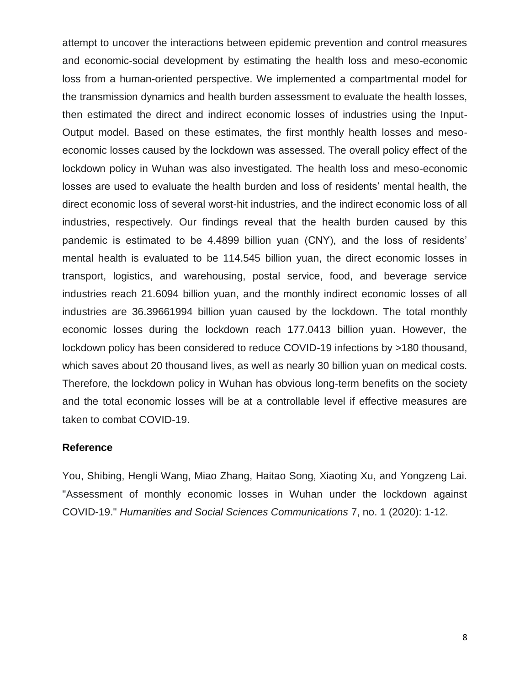attempt to uncover the interactions between epidemic prevention and control measures and economic-social development by estimating the health loss and meso-economic loss from a human-oriented perspective. We implemented a compartmental model for the transmission dynamics and health burden assessment to evaluate the health losses, then estimated the direct and indirect economic losses of industries using the Input-Output model. Based on these estimates, the first monthly health losses and mesoeconomic losses caused by the lockdown was assessed. The overall policy effect of the lockdown policy in Wuhan was also investigated. The health loss and meso-economic losses are used to evaluate the health burden and loss of residents' mental health, the direct economic loss of several worst-hit industries, and the indirect economic loss of all industries, respectively. Our findings reveal that the health burden caused by this pandemic is estimated to be 4.4899 billion yuan (CNY), and the loss of residents' mental health is evaluated to be 114.545 billion yuan, the direct economic losses in transport, logistics, and warehousing, postal service, food, and beverage service industries reach 21.6094 billion yuan, and the monthly indirect economic losses of all industries are 36.39661994 billion yuan caused by the lockdown. The total monthly economic losses during the lockdown reach 177.0413 billion yuan. However, the lockdown policy has been considered to reduce COVID-19 infections by >180 thousand, which saves about 20 thousand lives, as well as nearly 30 billion yuan on medical costs. Therefore, the lockdown policy in Wuhan has obvious long-term benefits on the society and the total economic losses will be at a controllable level if effective measures are taken to combat COVID-19.

#### **Reference**

You, Shibing, Hengli Wang, Miao Zhang, Haitao Song, Xiaoting Xu, and Yongzeng Lai. "Assessment of monthly economic losses in Wuhan under the lockdown against COVID-19." *Humanities and Social Sciences Communications* 7, no. 1 (2020): 1-12.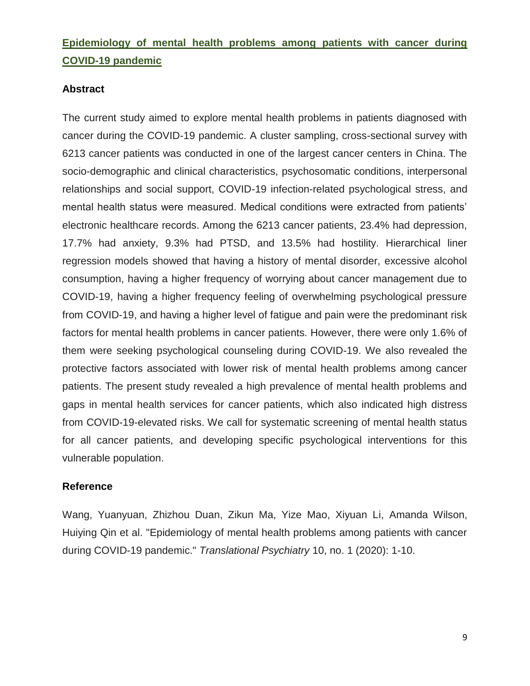# **Epidemiology of mental health problems among patients with cancer during COVID-19 pandemic**

### **Abstract**

The current study aimed to explore mental health problems in patients diagnosed with cancer during the COVID-19 pandemic. A cluster sampling, cross-sectional survey with 6213 cancer patients was conducted in one of the largest cancer centers in China. The socio-demographic and clinical characteristics, psychosomatic conditions, interpersonal relationships and social support, COVID-19 infection-related psychological stress, and mental health status were measured. Medical conditions were extracted from patients' electronic healthcare records. Among the 6213 cancer patients, 23.4% had depression, 17.7% had anxiety, 9.3% had PTSD, and 13.5% had hostility. Hierarchical liner regression models showed that having a history of mental disorder, excessive alcohol consumption, having a higher frequency of worrying about cancer management due to COVID-19, having a higher frequency feeling of overwhelming psychological pressure from COVID-19, and having a higher level of fatigue and pain were the predominant risk factors for mental health problems in cancer patients. However, there were only 1.6% of them were seeking psychological counseling during COVID-19. We also revealed the protective factors associated with lower risk of mental health problems among cancer patients. The present study revealed a high prevalence of mental health problems and gaps in mental health services for cancer patients, which also indicated high distress from COVID-19-elevated risks. We call for systematic screening of mental health status for all cancer patients, and developing specific psychological interventions for this vulnerable population.

### **Reference**

Wang, Yuanyuan, Zhizhou Duan, Zikun Ma, Yize Mao, Xiyuan Li, Amanda Wilson, Huiying Qin et al. "Epidemiology of mental health problems among patients with cancer during COVID-19 pandemic." *Translational Psychiatry* 10, no. 1 (2020): 1-10.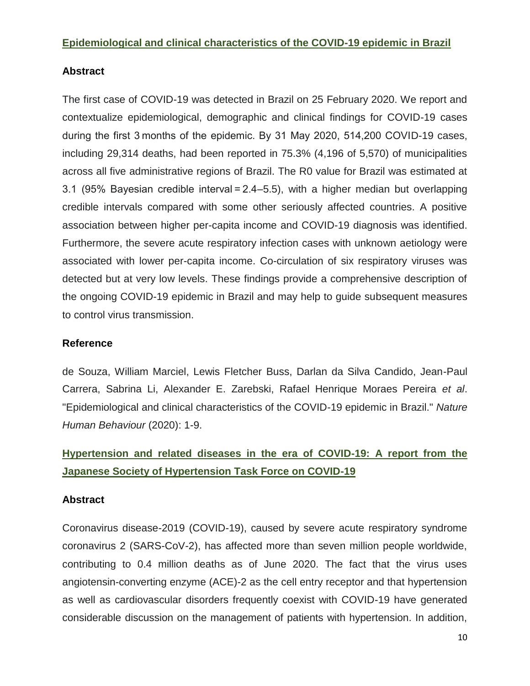### **Epidemiological and clinical characteristics of the COVID-19 epidemic in Brazil**

### **Abstract**

The first case of COVID-19 was detected in Brazil on 25 February 2020. We report and contextualize epidemiological, demographic and clinical findings for COVID-19 cases during the first 3 months of the epidemic. By 31 May 2020, 514,200 COVID-19 cases, including 29,314 deaths, had been reported in 75.3% (4,196 of 5,570) of municipalities across all five administrative regions of Brazil. The R0 value for Brazil was estimated at 3.1 (95% Bayesian credible interval = 2.4–5.5), with a higher median but overlapping credible intervals compared with some other seriously affected countries. A positive association between higher per-capita income and COVID-19 diagnosis was identified. Furthermore, the severe acute respiratory infection cases with unknown aetiology were associated with lower per-capita income. Co-circulation of six respiratory viruses was detected but at very low levels. These findings provide a comprehensive description of the ongoing COVID-19 epidemic in Brazil and may help to guide subsequent measures to control virus transmission.

### **Reference**

de Souza, William Marciel, Lewis Fletcher Buss, Darlan da Silva Candido, Jean-Paul Carrera, Sabrina Li, Alexander E. Zarebski, Rafael Henrique Moraes Pereira *et al*. "Epidemiological and clinical characteristics of the COVID-19 epidemic in Brazil." *Nature Human Behaviour* (2020): 1-9.

# **Hypertension and related diseases in the era of COVID-19: A report from the Japanese Society of Hypertension Task Force on COVID-19**

### **Abstract**

Coronavirus disease-2019 (COVID-19), caused by severe acute respiratory syndrome coronavirus 2 (SARS-CoV-2), has affected more than seven million people worldwide, contributing to 0.4 million deaths as of June 2020. The fact that the virus uses angiotensin-converting enzyme (ACE)-2 as the cell entry receptor and that hypertension as well as cardiovascular disorders frequently coexist with COVID-19 have generated considerable discussion on the management of patients with hypertension. In addition,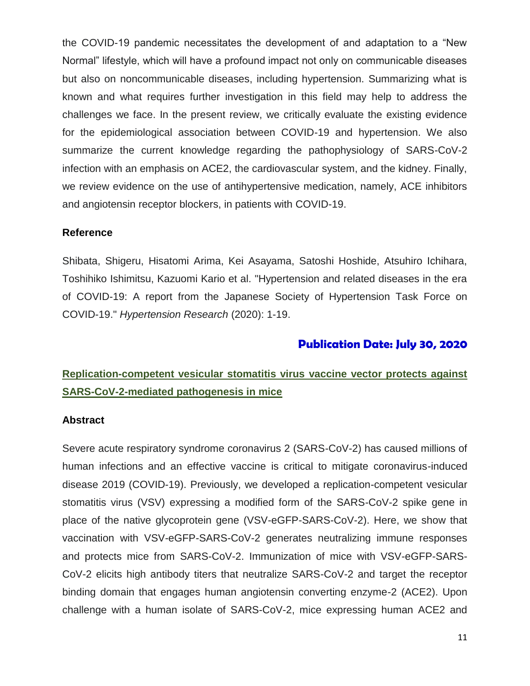the COVID-19 pandemic necessitates the development of and adaptation to a "New Normal" lifestyle, which will have a profound impact not only on communicable diseases but also on noncommunicable diseases, including hypertension. Summarizing what is known and what requires further investigation in this field may help to address the challenges we face. In the present review, we critically evaluate the existing evidence for the epidemiological association between COVID-19 and hypertension. We also summarize the current knowledge regarding the pathophysiology of SARS-CoV-2 infection with an emphasis on ACE2, the cardiovascular system, and the kidney. Finally, we review evidence on the use of antihypertensive medication, namely, ACE inhibitors and angiotensin receptor blockers, in patients with COVID-19.

#### **Reference**

Shibata, Shigeru, Hisatomi Arima, Kei Asayama, Satoshi Hoshide, Atsuhiro Ichihara, Toshihiko Ishimitsu, Kazuomi Kario et al. "Hypertension and related diseases in the era of COVID-19: A report from the Japanese Society of Hypertension Task Force on COVID-19." *Hypertension Research* (2020): 1-19.

## **Publication Date: July 30, 2020**

# **Replication-competent vesicular stomatitis virus vaccine vector protects against SARS-CoV-2-mediated pathogenesis in mice**

#### **Abstract**

Severe acute respiratory syndrome coronavirus 2 (SARS-CoV-2) has caused millions of human infections and an effective vaccine is critical to mitigate coronavirus-induced disease 2019 (COVID-19). Previously, we developed a replication-competent vesicular stomatitis virus (VSV) expressing a modified form of the SARS-CoV-2 spike gene in place of the native glycoprotein gene (VSV-eGFP-SARS-CoV-2). Here, we show that vaccination with VSV-eGFP-SARS-CoV-2 generates neutralizing immune responses and protects mice from SARS-CoV-2. Immunization of mice with VSV-eGFP-SARS-CoV-2 elicits high antibody titers that neutralize SARS-CoV-2 and target the receptor binding domain that engages human angiotensin converting enzyme-2 (ACE2). Upon challenge with a human isolate of SARS-CoV-2, mice expressing human ACE2 and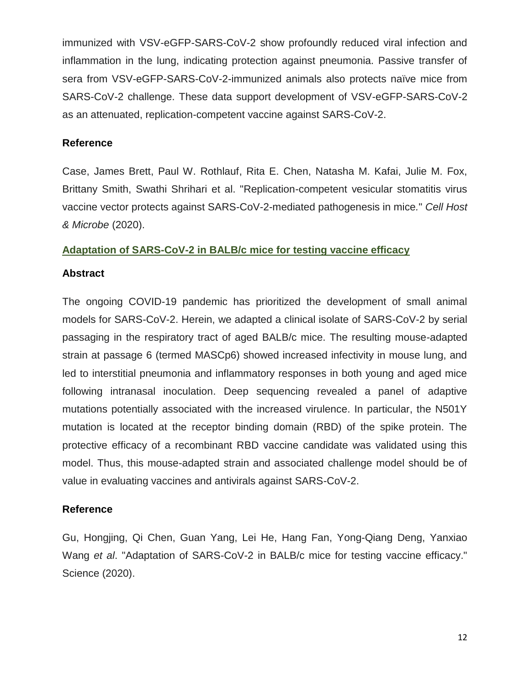immunized with VSV-eGFP-SARS-CoV-2 show profoundly reduced viral infection and inflammation in the lung, indicating protection against pneumonia. Passive transfer of sera from VSV-eGFP-SARS-CoV-2-immunized animals also protects naïve mice from SARS-CoV-2 challenge. These data support development of VSV-eGFP-SARS-CoV-2 as an attenuated, replication-competent vaccine against SARS-CoV-2.

### **Reference**

Case, James Brett, Paul W. Rothlauf, Rita E. Chen, Natasha M. Kafai, Julie M. Fox, Brittany Smith, Swathi Shrihari et al. "Replication-competent vesicular stomatitis virus vaccine vector protects against SARS-CoV-2-mediated pathogenesis in mice*.*" *Cell Host & Microbe* (2020).

### **Adaptation of SARS-CoV-2 in BALB/c mice for testing vaccine efficacy**

### **Abstract**

The ongoing COVID-19 pandemic has prioritized the development of small animal models for SARS-CoV-2. Herein, we adapted a clinical isolate of SARS-CoV-2 by serial passaging in the respiratory tract of aged BALB/c mice. The resulting mouse-adapted strain at passage 6 (termed MASCp6) showed increased infectivity in mouse lung, and led to interstitial pneumonia and inflammatory responses in both young and aged mice following intranasal inoculation. Deep sequencing revealed a panel of adaptive mutations potentially associated with the increased virulence. In particular, the N501Y mutation is located at the receptor binding domain (RBD) of the spike protein. The protective efficacy of a recombinant RBD vaccine candidate was validated using this model. Thus, this mouse-adapted strain and associated challenge model should be of value in evaluating vaccines and antivirals against SARS-CoV-2.

### **Reference**

Gu, Hongjing, Qi Chen, Guan Yang, Lei He, Hang Fan, Yong-Qiang Deng, Yanxiao Wang *et al*. "Adaptation of SARS-CoV-2 in BALB/c mice for testing vaccine efficacy." Science (2020).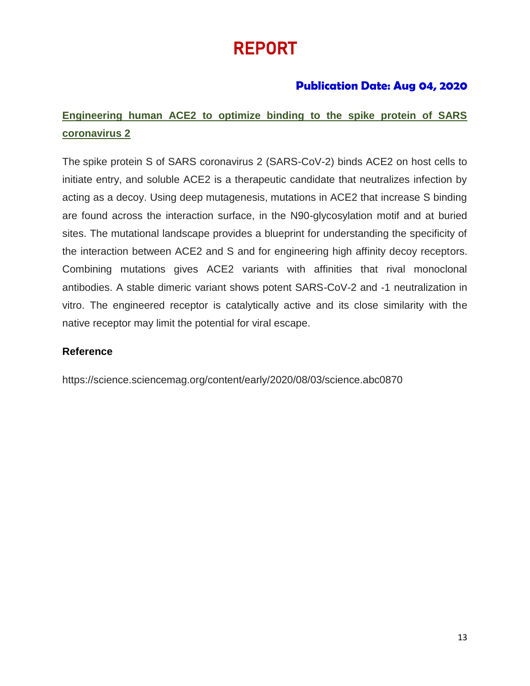# REPORT

# **Publication Date: Aug 04, 2020**

# **Engineering human ACE2 to optimize binding to the spike protein of SARS coronavirus 2**

The spike protein S of SARS coronavirus 2 (SARS-CoV-2) binds ACE2 on host cells to initiate entry, and soluble ACE2 is a therapeutic candidate that neutralizes infection by acting as a decoy. Using deep mutagenesis, mutations in ACE2 that increase S binding are found across the interaction surface, in the N90-glycosylation motif and at buried sites. The mutational landscape provides a blueprint for understanding the specificity of the interaction between ACE2 and S and for engineering high affinity decoy receptors. Combining mutations gives ACE2 variants with affinities that rival monoclonal antibodies. A stable dimeric variant shows potent SARS-CoV-2 and -1 neutralization in vitro. The engineered receptor is catalytically active and its close similarity with the native receptor may limit the potential for viral escape.

### **Reference**

https://science.sciencemag.org/content/early/2020/08/03/science.abc0870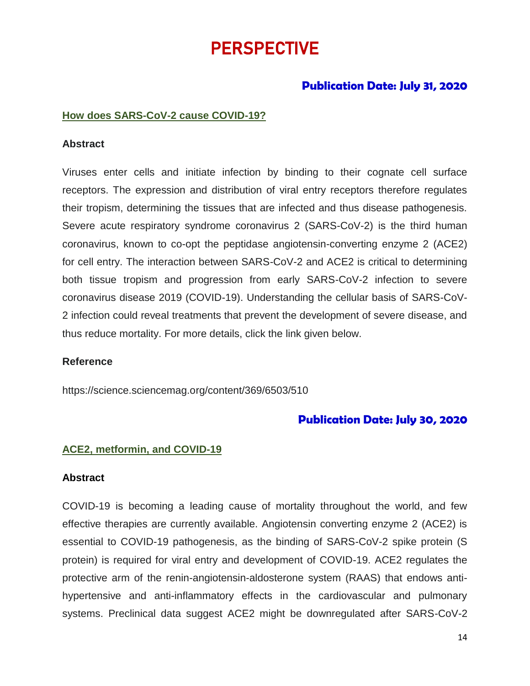# PERSPECTIVE

### **Publication Date: July 31, 2020**

#### **How does SARS-CoV-2 cause COVID-19?**

#### **Abstract**

Viruses enter cells and initiate infection by binding to their cognate cell surface receptors. The expression and distribution of viral entry receptors therefore regulates their tropism, determining the tissues that are infected and thus disease pathogenesis. Severe acute respiratory syndrome coronavirus 2 (SARS-CoV-2) is the third human coronavirus, known to co-opt the peptidase angiotensin-converting enzyme 2 (ACE2) for cell entry. The interaction between SARS-CoV-2 and ACE2 is critical to determining both tissue tropism and progression from early SARS-CoV-2 infection to severe coronavirus disease 2019 (COVID-19). Understanding the cellular basis of SARS-CoV-2 infection could reveal treatments that prevent the development of severe disease, and thus reduce mortality. For more details, click the link given below.

#### **Reference**

https://science.sciencemag.org/content/369/6503/510

### **Publication Date: July 30, 2020**

#### **ACE2, metformin, and COVID-19**

#### **Abstract**

COVID-19 is becoming a leading cause of mortality throughout the world, and few effective therapies are currently available. Angiotensin converting enzyme 2 (ACE2) is essential to COVID-19 pathogenesis, as the binding of SARS-CoV-2 spike protein (S protein) is required for viral entry and development of COVID-19. ACE2 regulates the protective arm of the renin-angiotensin-aldosterone system (RAAS) that endows antihypertensive and anti-inflammatory effects in the cardiovascular and pulmonary systems. Preclinical data suggest ACE2 might be downregulated after SARS-CoV-2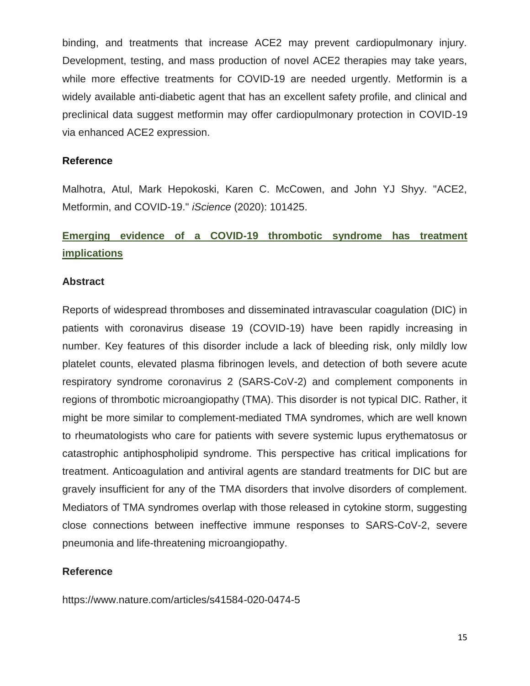binding, and treatments that increase ACE2 may prevent cardiopulmonary injury. Development, testing, and mass production of novel ACE2 therapies may take years, while more effective treatments for COVID-19 are needed urgently. Metformin is a widely available anti-diabetic agent that has an excellent safety profile, and clinical and preclinical data suggest metformin may offer cardiopulmonary protection in COVID-19 via enhanced ACE2 expression.

#### **Reference**

Malhotra, Atul, Mark Hepokoski, Karen C. McCowen, and John YJ Shyy. "ACE2, Metformin, and COVID-19." *iScience* (2020): 101425.

# **Emerging evidence of a COVID-19 thrombotic syndrome has treatment implications**

#### **Abstract**

Reports of widespread thromboses and disseminated intravascular coagulation (DIC) in patients with coronavirus disease 19 (COVID-19) have been rapidly increasing in number. Key features of this disorder include a lack of bleeding risk, only mildly low platelet counts, elevated plasma fibrinogen levels, and detection of both severe acute respiratory syndrome coronavirus 2 (SARS-CoV-2) and complement components in regions of thrombotic microangiopathy (TMA). This disorder is not typical DIC. Rather, it might be more similar to complement-mediated TMA syndromes, which are well known to rheumatologists who care for patients with severe systemic lupus erythematosus or catastrophic antiphospholipid syndrome. This perspective has critical implications for treatment. Anticoagulation and antiviral agents are standard treatments for DIC but are gravely insufficient for any of the TMA disorders that involve disorders of complement. Mediators of TMA syndromes overlap with those released in cytokine storm, suggesting close connections between ineffective immune responses to SARS-CoV-2, severe pneumonia and life-threatening microangiopathy.

### **Reference**

https://www.nature.com/articles/s41584-020-0474-5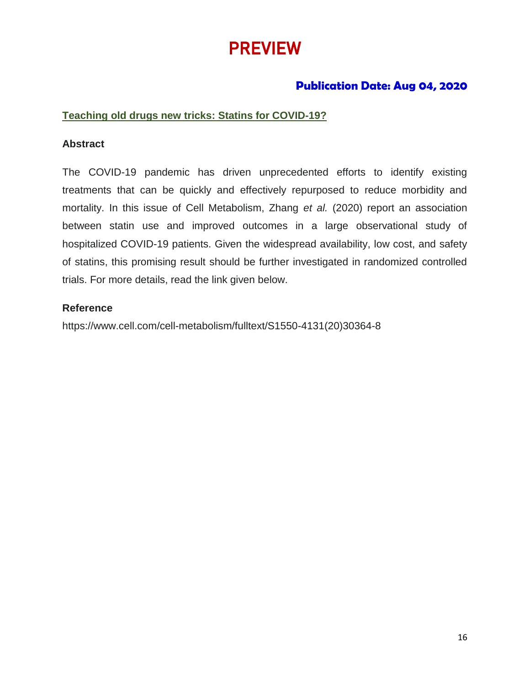# PREVIEW

## **Publication Date: Aug 04, 2020**

### **Teaching old drugs new tricks: Statins for COVID-19?**

### **Abstract**

The COVID-19 pandemic has driven unprecedented efforts to identify existing treatments that can be quickly and effectively repurposed to reduce morbidity and mortality. In this issue of Cell Metabolism, Zhang *et al.* (2020) report an association between statin use and improved outcomes in a large observational study of hospitalized COVID-19 patients. Given the widespread availability, low cost, and safety of statins, this promising result should be further investigated in randomized controlled trials. For more details, read the link given below.

### **Reference**

https://www.cell.com/cell-metabolism/fulltext/S1550-4131(20)30364-8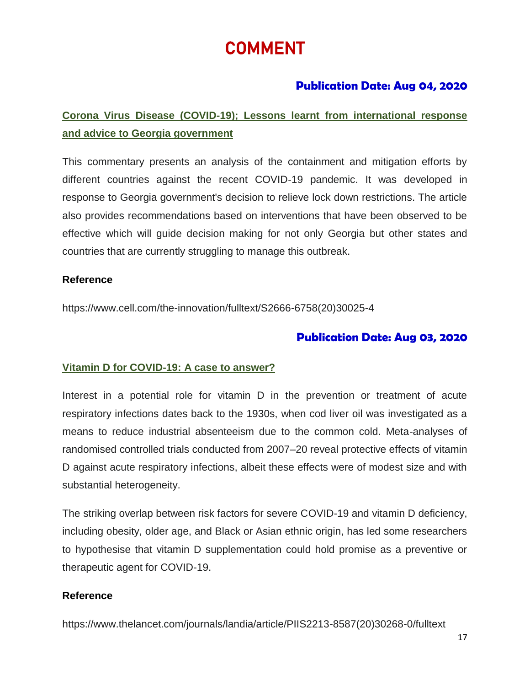# COMMENT

## **Publication Date: Aug 04, 2020**

# **Corona Virus Disease (COVID-19); Lessons learnt from international response and advice to Georgia government**

This commentary presents an analysis of the containment and mitigation efforts by different countries against the recent COVID-19 pandemic. It was developed in response to Georgia government's decision to relieve lock down restrictions. The article also provides recommendations based on interventions that have been observed to be effective which will guide decision making for not only Georgia but other states and countries that are currently struggling to manage this outbreak.

### **Reference**

https://www.cell.com/the-innovation/fulltext/S2666-6758(20)30025-4

## **Publication Date: Aug 03, 2020**

### **Vitamin D for COVID-19: A case to answer?**

Interest in a potential role for vitamin D in the prevention or treatment of acute respiratory infections dates back to the 1930s, when cod liver oil was investigated as a means to reduce industrial absenteeism due to the common cold. Meta-analyses of randomised controlled trials conducted from 2007–20 reveal protective effects of vitamin D against acute respiratory infections, albeit these effects were of modest size and with substantial heterogeneity.

The striking overlap between risk factors for severe COVID-19 and vitamin D deficiency, including obesity, older age, and Black or Asian ethnic origin, has led some researchers to hypothesise that vitamin D supplementation could hold promise as a preventive or therapeutic agent for COVID-19.

### **Reference**

https://www.thelancet.com/journals/landia/article/PIIS2213-8587(20)30268-0/fulltext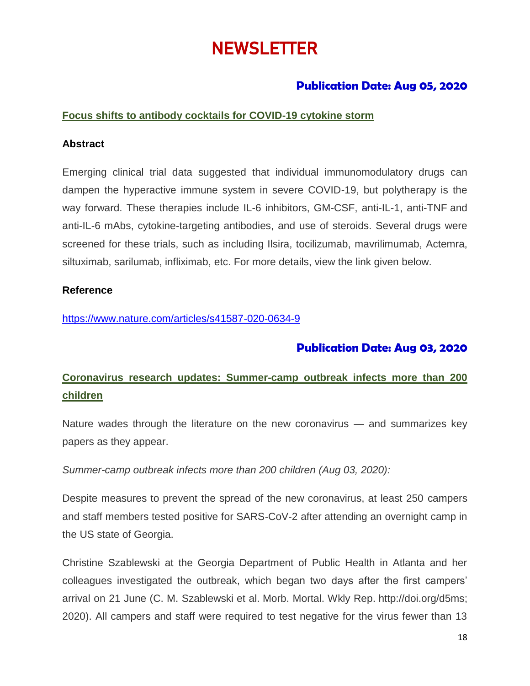# **NEWSLETTER**

## **Publication Date: Aug 05, 2020**

### **Focus shifts to antibody cocktails for COVID-19 cytokine storm**

#### **Abstract**

Emerging clinical trial data suggested that individual immunomodulatory drugs can dampen the hyperactive immune system in severe COVID-19, but polytherapy is the way forward. These therapies include IL-6 inhibitors, GM-CSF, anti-IL-1, anti-TNF and anti-IL-6 mAbs, cytokine-targeting antibodies, and use of steroids. Several drugs were screened for these trials, such as including Ilsira, tocilizumab, [mavrilimumab,](https://doi.org/10.1016/S2665-9913(20)30170-3) Actemra, siltuximab, sarilumab, infliximab, etc. For more details, view the link given below.

#### **Reference**

<https://www.nature.com/articles/s41587-020-0634-9>

## **Publication Date: Aug 03, 2020**

# **Coronavirus research updates: Summer-camp outbreak infects more than 200 children**

Nature wades through the literature on the new coronavirus — and summarizes key papers as they appear.

*Summer-camp outbreak infects more than 200 children (Aug 03, 2020):*

Despite measures to prevent the spread of the new coronavirus, at least 250 campers and staff members tested positive for SARS-CoV-2 after attending an overnight camp in the US state of Georgia.

Christine Szablewski at the Georgia Department of Public Health in Atlanta and her colleagues investigated the outbreak, which began two days after the first campers' arrival on 21 June (C. M. Szablewski et al. Morb. Mortal. Wkly Rep. [http://doi.org/d5ms;](http://doi.org/d5ms) 2020). All campers and staff were required to test negative for the virus fewer than 13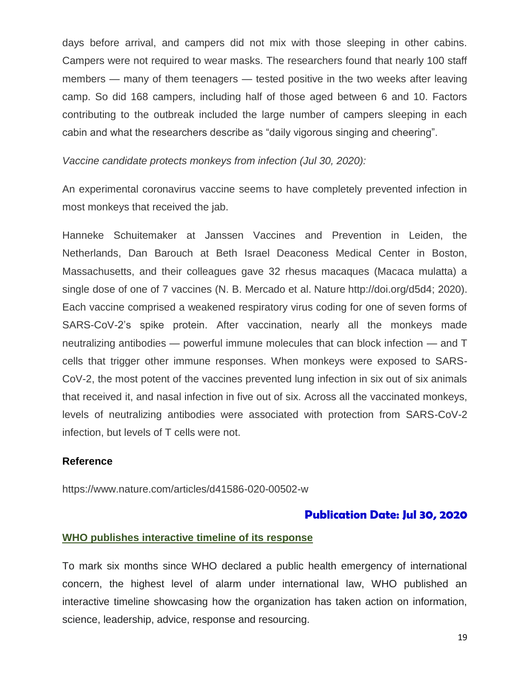days before arrival, and campers did not mix with those sleeping in other cabins. Campers were not required to wear masks. The researchers found that nearly 100 staff members — many of them teenagers — tested positive in the two weeks after leaving camp. So did 168 campers, including half of those aged between 6 and 10. Factors contributing to the outbreak included the large number of campers sleeping in each cabin and what the researchers describe as "daily vigorous singing and cheering".

*Vaccine candidate protects monkeys from infection (Jul 30, 2020):*

An experimental coronavirus vaccine seems to have completely prevented infection in most monkeys that received the jab.

Hanneke Schuitemaker at Janssen Vaccines and Prevention in Leiden, the Netherlands, Dan Barouch at Beth Israel Deaconess Medical Center in Boston, Massachusetts, and their colleagues gave 32 rhesus macaques (Macaca mulatta) a single dose of one of 7 vaccines (N. B. Mercado et al. Nature [http://doi.org/d5d4;](http://doi.org/d5d4) 2020). Each vaccine comprised a weakened respiratory virus coding for one of seven forms of SARS-CoV-2's spike protein. After vaccination, nearly all the monkeys made neutralizing antibodies — powerful immune molecules that can block infection — and T cells that trigger other immune responses. When monkeys were exposed to SARS-CoV-2, the most potent of the vaccines prevented lung infection in six out of six animals that received it, and nasal infection in five out of six. Across all the vaccinated monkeys, levels of neutralizing antibodies were associated with protection from SARS-CoV-2 infection, but levels of T cells were not.

#### **Reference**

https://www.nature.com/articles/d41586-020-00502-w

#### **Publication Date: Jul 30, 2020**

#### **WHO publishes interactive timeline of its response**

To mark six months since WHO declared a public health emergency of international concern, the highest level of alarm under international law, WHO published an interactive timeline showcasing how the organization has taken action on information, science, leadership, advice, response and resourcing.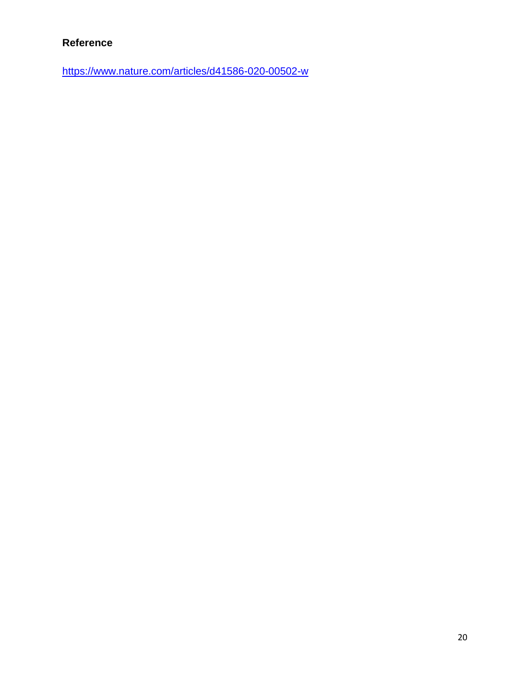### **Reference**

<https://www.nature.com/articles/d41586-020-00502-w>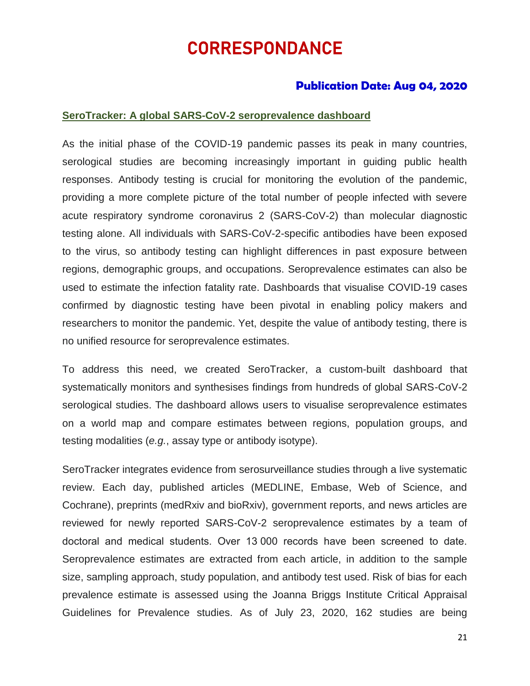# CORRESPONDANCE

### **Publication Date: Aug 04, 2020**

#### **SeroTracker: A global SARS-CoV-2 seroprevalence dashboard**

As the initial phase of the COVID-19 pandemic passes its peak in many countries, serological studies are becoming increasingly important in guiding public health responses. Antibody testing is crucial for monitoring the evolution of the pandemic, providing a more complete picture of the total number of people infected with severe acute respiratory syndrome coronavirus 2 (SARS-CoV-2) than molecular diagnostic testing alone. All individuals with SARS-CoV-2-specific antibodies have been exposed to the virus, so antibody testing can highlight differences in past exposure between regions, demographic groups, and occupations. Seroprevalence estimates can also be used to estimate the infection fatality rate. Dashboards that visualise COVID-19 cases confirmed by diagnostic testing have been pivotal in enabling policy makers and researchers to monitor the pandemic. Yet, despite the value of antibody testing, there is no unified resource for seroprevalence estimates.

To address this need, we created SeroTracker, a custom-built dashboard that systematically monitors and synthesises findings from hundreds of global SARS-CoV-2 serological studies. The dashboard allows users to visualise seroprevalence estimates on a world map and compare estimates between regions, population groups, and testing modalities (*e.g.*, assay type or antibody isotype).

SeroTracker integrates evidence from serosurveillance studies through a live systematic review. Each day, published articles (MEDLINE, Embase, Web of Science, and Cochrane), preprints (medRxiv and bioRxiv), government reports, and news articles are reviewed for newly reported SARS-CoV-2 seroprevalence estimates by a team of doctoral and medical students. Over 13 000 records have been screened to date. Seroprevalence estimates are extracted from each article, in addition to the sample size, sampling approach, study population, and antibody test used. Risk of bias for each prevalence estimate is assessed using the Joanna Briggs Institute Critical Appraisal Guidelines for Prevalence studies. As of July 23, 2020, 162 studies are being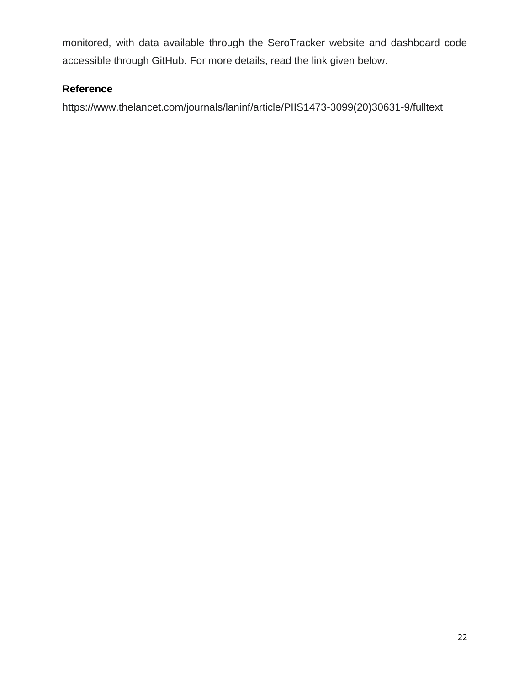monitored, with data available through the SeroTracker website and dashboard code accessible through GitHub. For more details, read the link given below.

### **Reference**

https://www.thelancet.com/journals/laninf/article/PIIS1473-3099(20)30631-9/fulltext